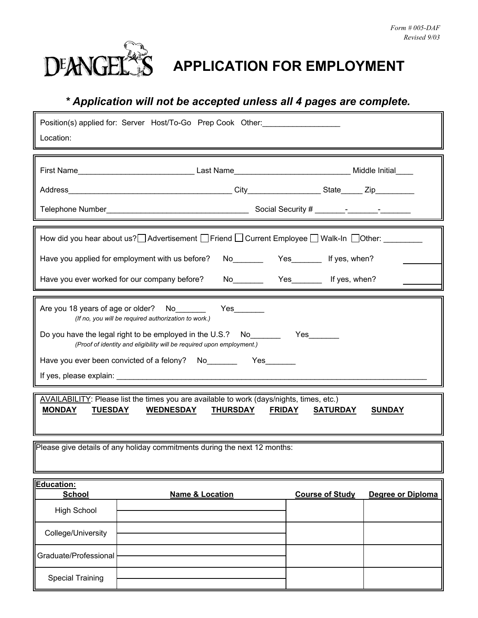

Г

# **DEANGEL<sup>\*</sup>S** APPLICATION FOR EMPLOYMENT

# *\* Application will not be accepted unless all 4 pages are complete.*

| Location:                                                                                                                                                                                                                                                                                         | Position(s) applied for: Server Host/To-Go Prep Cook Other: |                                             |  |  |  |
|---------------------------------------------------------------------------------------------------------------------------------------------------------------------------------------------------------------------------------------------------------------------------------------------------|-------------------------------------------------------------|---------------------------------------------|--|--|--|
|                                                                                                                                                                                                                                                                                                   |                                                             |                                             |  |  |  |
| How did you hear about us? Advertisement Friend Current Employee Walk-In Dother: _______<br>No <sub>_______</sub> Yes________ If yes, when?<br>Have you applied for employment with us before?<br>Have you ever worked for our company before?<br>No <sub>________</sub> Yes_______ If yes, when? |                                                             |                                             |  |  |  |
| Are you 18 years of age or older? No<br>(If no, you will be required authorization to work.)<br>(Proof of identity and eligibility will be required upon employment.)                                                                                                                             |                                                             |                                             |  |  |  |
| AVAILABILITY: Please list the times you are available to work (days/nights, times, etc.)<br><b>MONDAY</b><br><b>TUESDAY</b><br>WEDNESDAY THURSDAY FRIDAY<br><b>SATURDAY</b><br><u>SUNDAY</u>                                                                                                      |                                                             |                                             |  |  |  |
| Please give details of any holiday commitments during the next 12 months:                                                                                                                                                                                                                         |                                                             |                                             |  |  |  |
| Education:<br><b>School</b><br><b>High School</b>                                                                                                                                                                                                                                                 | <b>Name &amp; Location</b>                                  | <b>Course of Study</b><br>Degree or Diploma |  |  |  |
| College/University                                                                                                                                                                                                                                                                                |                                                             |                                             |  |  |  |
| Graduate/Professional                                                                                                                                                                                                                                                                             |                                                             |                                             |  |  |  |
| <b>Special Training</b>                                                                                                                                                                                                                                                                           |                                                             |                                             |  |  |  |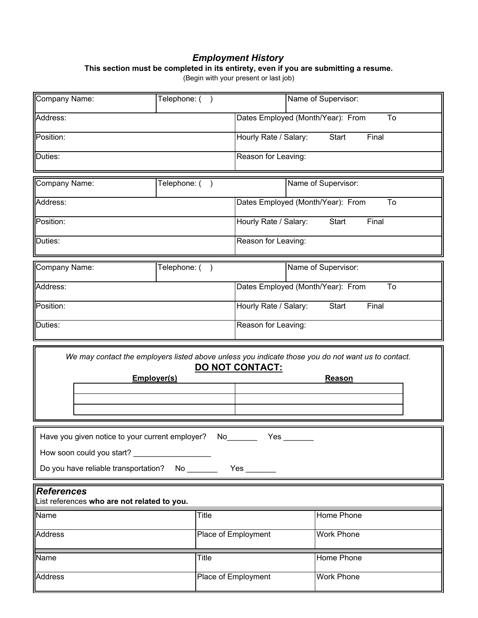#### *Employment History*

**This section must be completed in its entirety, even if you are submitting a resume.**

(Begin with your present or last job)

| Company Name:                                                                                                           | Telephone: (  |                        | Name of Supervisor:                                                                                                 |  |
|-------------------------------------------------------------------------------------------------------------------------|---------------|------------------------|---------------------------------------------------------------------------------------------------------------------|--|
| Address:                                                                                                                |               |                        | Dates Employed (Month/Year): From<br>To                                                                             |  |
| Position:                                                                                                               |               |                        | Hourly Rate / Salary:<br>Start<br>Final                                                                             |  |
| Duties:                                                                                                                 |               | Reason for Leaving:    |                                                                                                                     |  |
| Company Name:                                                                                                           | Telephone: () |                        | Name of Supervisor:                                                                                                 |  |
| Address:                                                                                                                |               |                        | Dates Employed (Month/Year): From<br>To                                                                             |  |
| Position:                                                                                                               |               |                        | Hourly Rate / Salary:<br>Start<br>Final                                                                             |  |
| Duties:                                                                                                                 |               |                        | Reason for Leaving:                                                                                                 |  |
| Company Name:                                                                                                           | Telephone: () |                        | Name of Supervisor:                                                                                                 |  |
| Address:                                                                                                                |               |                        | Dates Employed (Month/Year): From<br>To                                                                             |  |
| Position:                                                                                                               |               |                        | Hourly Rate / Salary:<br>Start<br>Final                                                                             |  |
| Duties:                                                                                                                 |               |                        | Reason for Leaving:                                                                                                 |  |
|                                                                                                                         |               |                        |                                                                                                                     |  |
| Employer(s)                                                                                                             |               | <u>DO NOT CONTACT:</u> | We may contact the employers listed above unless you indicate those you do not want us to contact.<br><b>Reason</b> |  |
| Have you given notice to your current employer?<br>How soon could you start?<br>Do you have reliable transportation? No | No l          | Yes $_{-}$             |                                                                                                                     |  |
| <b>References</b><br>List references who are not related to you.                                                        |               |                        |                                                                                                                     |  |
| Name                                                                                                                    | Title         |                        | Home Phone                                                                                                          |  |
| <b>Address</b>                                                                                                          |               | Place of Employment    | <b>Work Phone</b>                                                                                                   |  |
| Name                                                                                                                    | Title         |                        | Home Phone                                                                                                          |  |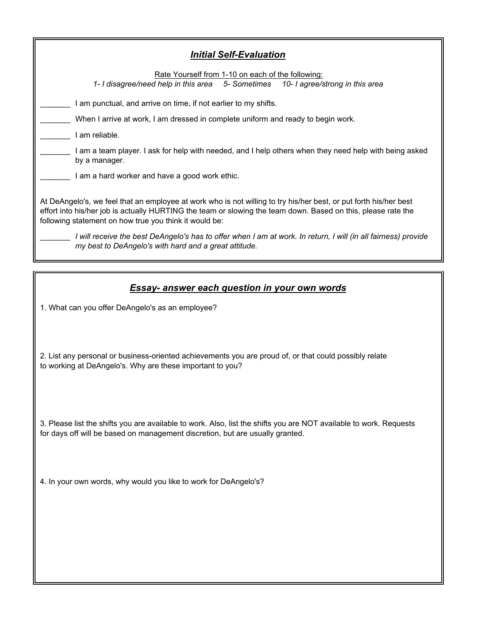| <b>Initial Self-Evaluation</b>                                                                                                                                                                                                                                                               |  |  |
|----------------------------------------------------------------------------------------------------------------------------------------------------------------------------------------------------------------------------------------------------------------------------------------------|--|--|
| Rate Yourself from 1-10 on each of the following:<br>1- I disagree/need help in this area 5- Sometimes<br>10- I agree/strong in this area                                                                                                                                                    |  |  |
| I am punctual, and arrive on time, if not earlier to my shifts.                                                                                                                                                                                                                              |  |  |
| When I arrive at work, I am dressed in complete uniform and ready to begin work.                                                                                                                                                                                                             |  |  |
| I am reliable.                                                                                                                                                                                                                                                                               |  |  |
| I am a team player. I ask for help with needed, and I help others when they need help with being asked<br>by a manager.                                                                                                                                                                      |  |  |
| I am a hard worker and have a good work ethic.                                                                                                                                                                                                                                               |  |  |
| At DeAngelo's, we feel that an employee at work who is not willing to try his/her best, or put forth his/her best<br>effort into his/her job is actually HURTING the team or slowing the team down. Based on this, please rate the<br>following statement on how true you think it would be: |  |  |
| I will receive the best DeAngelo's has to offer when I am at work. In return, I will (in all fairness) provide<br>my best to DeAngelo's with hard and a great attitude.                                                                                                                      |  |  |

## *Essay- answer each question in your own words*

1. What can you offer DeAngelo's as an employee?

 2. List any personal or business-oriented achievements you are proud of, or that could possibly relate to working at DeAngelo's. Why are these important to you?

 3. Please list the shifts you are available to work. Also, list the shifts you are NOT available to work. Requests for days off will be based on management discretion, but are usually granted.

4. In your own words, why would you like to work for DeAngelo's?